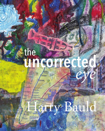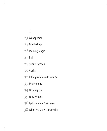# I

- Woodpecker 23
- 24 Fourth Grade
- 26 Morning Magic
- $27$  Ball
- 29 Science Section
- 30 Alaska
- 32 Riffing with Neruda over You
	- 33 Persimmons
- 34 On a Napkin
	- 35 Forty Winters
- 36 Epithalamion: Swift River
- 38 When You Grow Up Catholic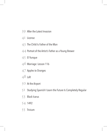- 39 After the Latest Invasion
	- 4<sup>I</sup> License
- 43 The Child Is Father of the Man
- 44 Portrait of the Artist's Father as a Young Brewer
- 45 El Yunque
	- 46 Marriage: Lesson 116
	- 47 Apples to Oranges
	- $48$  Loft
	- $5^{\circ}$  At the Airport
- 5I Studying Spanish I Learn the Future Is Completely Regular
	- 53 Black Icarus
	- 54 1492
- 55 Trivium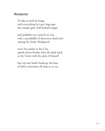## Woodpecker

To dig an inch he bangs with everything he's got, bug-zaps the stump's glut with barbed tongue

and publishes no canticle or caw, only a paradiddle of discovery, dead tock among the limbs. Backporch

suet's his junket in Fat City, upside down bender after the daily hack at dry forms with the pick of himself

face up into bark's foolscap, the beat of labor sometimes all there is to eat.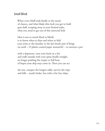## Small Blind

When every bluff ends finally in the muck of chance, and what blade-thin luck you get to hold goes dull, scraping away at your limited stake, what you need to get out of this universal hole

(that is not so much black as blind) is to know when to dare and when to fold your arms or the laundry or the last lonely pair of kings on earth – O plastic-coated paper monarchs! – to sweeten a pot

with a departure, turn your back on a bet and walk outside with your spine finally straight, no longer pushing the empty or full boat of hopes your ship may come in. Then you can ace

the test, conquer the longest odds, survive the trips and falls – nearly broke, but with a few last chips.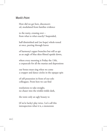### Monk's Point

How did we get here, disconcerted, modulated from familiar evidence

to the nutty, crossing over – from what to what exactly? Suspended,

half diminished and (we hope) whole-toned at once, peering through leaves

of harmony's upper branches but still as apt as an angle of blue skies filmed upside down,

where every morning is Friday the 13th, a crepuscule for all the manias and depressions

our bones must sing when we come a cropper and dance circles in the opaque spin

of self possession in front of our solo colleagues. From here we can find

resolutions to take straight, no chaser into the trinkle-tinkle dark,

the tonic only an ugly beauty to

(if we're lucky) play twice. Let's call this introspection what it is, a monotone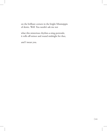on the brilliant corners in the bright Mississippis of desire. Well. You needn't ask me not

what this misterioso rhythm-a-ning portends; it rolls off-minor and round midnight for thee,

and I mean you.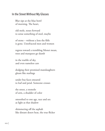### In the Street Without My Glasses

Blur sips at the blue bowl of morning. The heart,

old mole, noses forward to sense something of steel, maybe

of stone  $-$  without a lens the filth is gone. Unrefracted men and women

regress toward a trembling Monet mean, trees and marquees go dumb

in the warble of sky, and even nameless cars

dodging their promised manslaughters gleam like starlings

under bus faces smeared to leaf and petal. Someone crosses

the street, a tremolo of arm, a shudder of color

smoothed to one age, race and sex as light as that shadow

shimmering off the asphalt like distant desert heat, the true flicker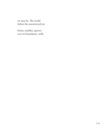we may be. The world before the uncorrected eye

brims, marbles, quivers over its boundaries, wells.